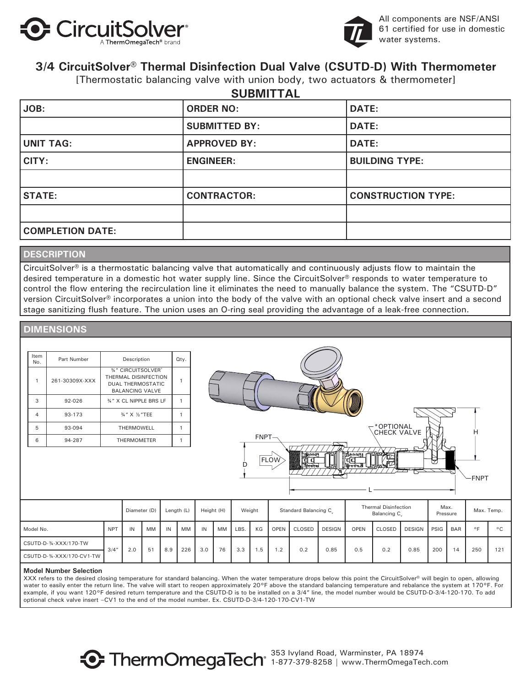



All components are NSF/ANSI 61 certified for use in domestic water systems.

### **3/4 CircuitSolver® Thermal Disinfection Dual Valve (CSUTD-D) With Thermometer**

[Thermostatic balancing valve with union body, two actuators & thermometer]

|                         | <b>SUBMITTAL</b>     |                           |
|-------------------------|----------------------|---------------------------|
| JOB:                    | <b>ORDER NO:</b>     | DATE:                     |
|                         | <b>SUBMITTED BY:</b> | DATE:                     |
| UNIT TAG:               | <b>APPROVED BY:</b>  | <b>DATE:</b>              |
| CITY:                   | <b>ENGINEER:</b>     | <b>BUILDING TYPE:</b>     |
|                         |                      |                           |
| <b>STATE:</b>           | <b>CONTRACTOR:</b>   | <b>CONSTRUCTION TYPE:</b> |
|                         |                      |                           |
| <b>COMPLETION DATE:</b> |                      |                           |

### **DESCRIPTION**

CircuitSolver<sup>®</sup> is a thermostatic balancing valve that automatically and continuously adjusts flow to maintain the desired temperature in a domestic hot water supply line. Since the CircuitSolver® responds to water temperature to control the flow entering the recirculation line it eliminates the need to manually balance the system. The "CSUTD-D" version CircuitSolver® incorporates a union into the body of the valve with an optional check valve insert and a second stage sanitizing flush feature. The union uses an O-ring seal providing the advantage of a leak-free connection.

### **DIMENSIONS**

| Item<br>No.    | Part Number    | Description                                                                                             | Qty. |
|----------------|----------------|---------------------------------------------------------------------------------------------------------|------|
| 1              | 261-30309X-XXX | <b>34" CIRCUITSOLVER®</b><br>THERMAL DISINFECTION<br><b>DUAL THERMOSTATIC</b><br><b>BALANCING VALVE</b> |      |
| 3              | $92 - 026$     | %" X CL NIPPLE BRS LF                                                                                   |      |
| $\overline{4}$ | 93-173         | 3/4" X 1/3 "TEE                                                                                         |      |
| 5              | 93-094         | THERMOWELL                                                                                              |      |
| 6              | 94-287         | <b>THERMOMETER</b>                                                                                      |      |



|                           |            | Diameter (D) |    | Length (L) |     | Height (H) |    | Weight |     | Standard Balancing C. |               | <b>Thermal Disinfection</b><br>Balancing C. |             | Max.<br>Pressure |               | Max. Temp. |            |                |              |
|---------------------------|------------|--------------|----|------------|-----|------------|----|--------|-----|-----------------------|---------------|---------------------------------------------|-------------|------------------|---------------|------------|------------|----------------|--------------|
| Model No.                 | <b>NPT</b> | IN           | МM | IN         | MM  | IN         | MM | LBS    | KG  | <b>OPEN</b>           | <b>CLOSED</b> | <b>DESIGN</b>                               | <b>OPEN</b> | CLOSED           | <b>DESIGN</b> | PSIG       | <b>BAR</b> | O <sub>1</sub> | $^{\circ}$ C |
| CSUTD-D-34-XXX/170-TW     | 3/4''      | 2.0          | 51 | 8.9        | 226 | 3.0        | 76 | 3.3    | 1.5 | $\cdot$ .2            | 0.2           | 0.85                                        | 0.5         | 0.2              | 0.85          | 200        | 14         | 250            | 121          |
| CSUTD-D-34-XXX/170-CV1-TW |            |              |    |            |     |            |    |        |     |                       |               |                                             |             |                  |               |            |            |                |              |

#### **Model Number Selection**

XXX refers to the desired closing temperature for standard balancing. When the water temperature drops below this point the CircuitSolver® will begin to open, allowing water to easily enter the return line. The valve will start to reopen approximately 20°F above the standard balancing temperature and rebalance the system at 170°F. For example, if you want 120°F desired return temperature and the CSUTD-D is to be installed on a 3/4" line, the model number would be CSUTD-D-3/4-120-170. To add optional check valve insert –CV1 to the end of the model number. Ex. CSUTD-D-3/4-120-170-CV1-TW